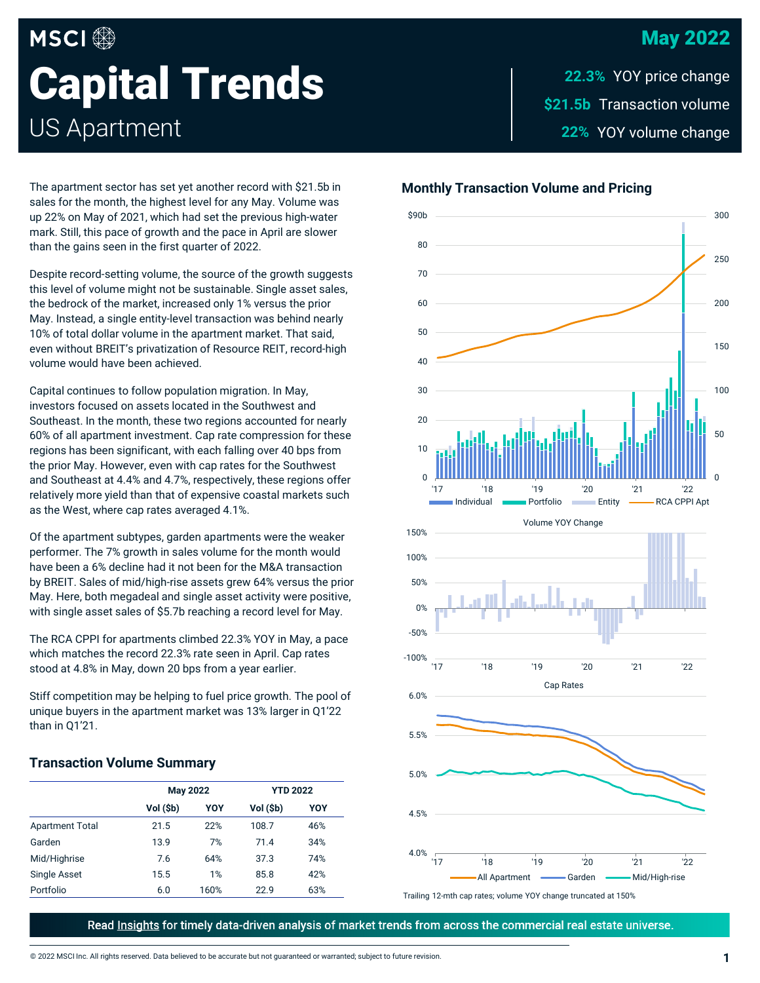# May 2022

# **MSCI Capital Trends** US Apartment

\$21.5b Transaction volume 22% YOY volume change **22.3%**

The apartment sector has set yet another record with \$21.5b in sales for the month, the highest level for any May. Volume was up 22% on May of 2021, which had set the previous high-water mark. Still, this pace of growth and the pace in April are slower than the gains seen in the first quarter of 2022.

Despite record-setting volume, the source of the growth suggests this level of volume might not be sustainable. Single asset sales, the bedrock of the market, increased only 1% versus the prior May. Instead, a single entity-level transaction was behind nearly 10% of total dollar volume in the apartment market. That said, even without BREIT's privatization of Resource REIT, record-high volume would have been achieved.

Capital continues to follow population migration. In May, investors focused on assets located in the Southwest and Southeast. In the month, these two regions accounted for nearly 60% of all apartment investment. Cap rate compression for these regions has been significant, with each falling over 40 bps from the prior May. However, even with cap rates for the Southwest and Southeast at 4.4% and 4.7%, respectively, these regions offer relatively more yield than that of expensive coastal markets such as the West, where cap rates averaged 4.1%.

Of the apartment subtypes, garden apartments were the weaker performer. The 7% growth in sales volume for the month would have been a 6% decline had it not been for the M&A transaction by BREIT. Sales of mid/high-rise assets grew 64% versus the prior May. Here, both megadeal and single asset activity were positive, with single asset sales of \$5.7b reaching a record level for May.

The RCA CPPI for apartments climbed 22.3% YOY in May, a pace which matches the record 22.3% rate seen in April. Cap rates stood at 4.8% in May, down 20 bps from a year earlier.

Stiff competition may be helping to fuel price growth. The pool of unique buyers in the apartment market was 13% larger in Q1'22 than in Q1'21.

#### **Transaction Volume Summary**

|                        | <b>May 2022</b> |      | <b>YTD 2022</b> |     |
|------------------------|-----------------|------|-----------------|-----|
|                        | Vol (\$b)       | YOY  | Vol (\$b)       | YOY |
| <b>Apartment Total</b> | 21.5            | 22%  | 108.7           | 46% |
| Garden                 | 13.9            | 7%   | 71.4            | 34% |
| Mid/Highrise           | 7.6             | 64%  | 37.3            | 74% |
| Single Asset           | 15.5            | 1%   | 85.8            | 42% |
| Portfolio              | 6.0             | 160% | 22.9            | 63% |

#### **Monthly Transaction Volume and Pricing**



Trailing 12-mth cap rates; volume YOY change truncated at 150%

Read Insights for timely data-driven analysis of market trends from across the commercial real estate universe.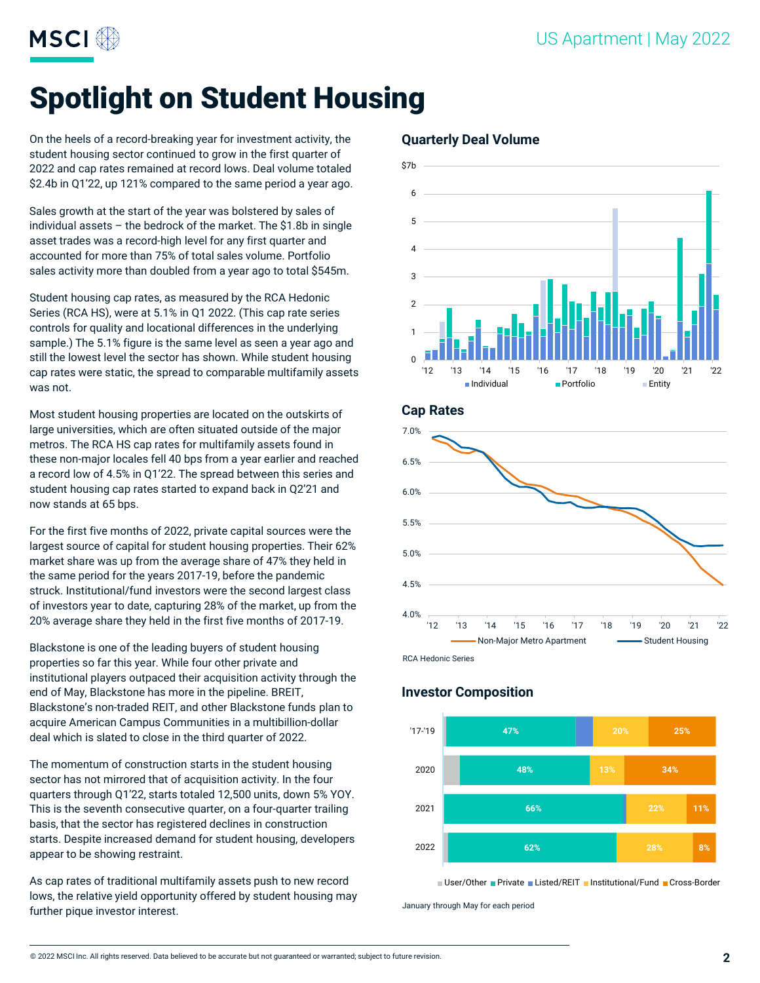

# Spotlight on Student Housing

On the heels of a record-breaking year for investment activity, the student housing sector continued to grow in the first quarter of 2022 and cap rates remained at record lows. Deal volume totaled \$2.4b in Q1'22, up 121% compared to the same period a year ago.

Sales growth at the start of the year was bolstered by sales of individual assets – the bedrock of the market. The \$1.8b in single asset trades was a record-high level for any first quarter and accounted for more than 75% of total sales volume. Portfolio sales activity more than doubled from a year ago to total \$545m.

Student housing cap rates, as measured by the RCA Hedonic Series (RCA HS), were at 5.1% in Q1 2022. (This cap rate series controls for quality and locational differences in the underlying sample.) The 5.1% figure is the same level as seen a year ago and still the lowest level the sector has shown. While student housing cap rates were static, the spread to comparable multifamily assets was not.

Most student housing properties are located on the outskirts of large universities, which are often situated outside of the major metros. The RCA HS cap rates for multifamily assets found in these non-major locales fell 40 bps from a year earlier and reached a record low of 4.5% in Q1'22. The spread between this series and student housing cap rates started to expand back in Q2'21 and now stands at 65 bps.

For the first five months of 2022, private capital sources were the largest source of capital for student housing properties. Their 62% market share was up from the average share of 47% they held in the same period for the years 2017-19, before the pandemic struck. Institutional/fund investors were the second largest class of investors year to date, capturing 28% of the market, up from the 20% average share they held in the first five months of 2017-19.

Blackstone is one of the leading buyers of student housing properties so far this year. While four other private and institutional players outpaced their acquisition activity through the end of May, Blackstone has more in the pipeline. BREIT, Blackstone's non-traded REIT, and other Blackstone funds plan to acquire American Campus Communities in a multibillion-dollar deal which is slated to close in the third quarter of 2022.

The momentum of construction starts in the student housing sector has not mirrored that of acquisition activity. In the four quarters through Q1'22, starts totaled 12,500 units, down 5% YOY. This is the seventh consecutive quarter, on a four-quarter trailing basis, that the sector has registered declines in construction starts. Despite increased demand for student housing, developers appear to be showing restraint.

As cap rates of traditional multifamily assets push to new record lows, the relative yield opportunity offered by student housing may further pique investor interest.

#### **Quarterly Deal Volume**



**Cap Rates**



#### **Investor Composition**



■ User/Other ■ Private ■ Listed/REIT ■ Institutional/Fund ■ Cross-Border

January through May for each period